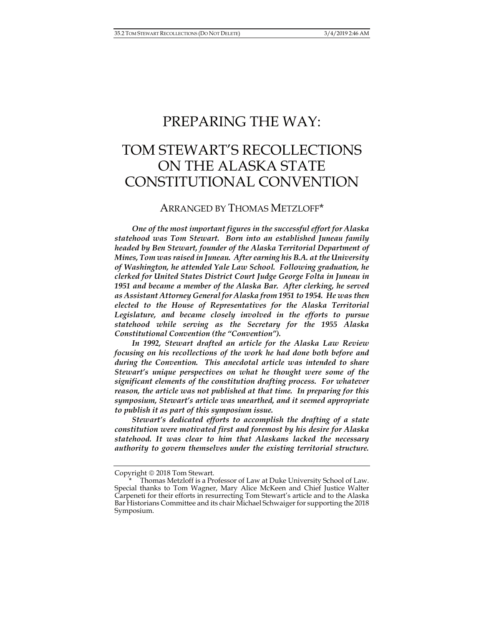## PREPARING THE WAY:

# TOM STEWART'S RECOLLECTIONS ON THE ALASKA STATE CONSTITUTIONAL CONVENTION

### ARRANGED BY THOMAS METZLOFF\*

*One of the most important figures in the successful effort for Alaska statehood was Tom Stewart. Born into an established Juneau family headed by Ben Stewart, founder of the Alaska Territorial Department of Mines, Tom was raised in Juneau. After earning his B.A. at the University of Washington, he attended Yale Law School. Following graduation, he clerked for United States District Court Judge George Folta in Juneau in 1951 and became a member of the Alaska Bar. After clerking, he served as Assistant Attorney General for Alaska from 1951 to 1954. He was then elected to the House of Representatives for the Alaska Territorial Legislature, and became closely involved in the efforts to pursue statehood while serving as the Secretary for the 1955 Alaska Constitutional Convention (the "Convention").*

*In 1992, Stewart drafted an article for the Alaska Law Review focusing on his recollections of the work he had done both before and during the Convention.**This anecdotal article was intended to share Stewart's unique perspectives on what he thought were some of the significant elements of the constitution drafting process. For whatever reason, the article was not published at that time. In preparing for this symposium, Stewart's article was unearthed, and it seemed appropriate to publish it as part of this symposium issue.*

*Stewart's dedicated efforts to accomplish the drafting of a state constitution were motivated first and foremost by his desire for Alaska statehood. It was clear to him that Alaskans lacked the necessary authority to govern themselves under the existing territorial structure.* 

Copyright © 2018 Tom Stewart.

Thomas Metzloff is a Professor of Law at Duke University School of Law. Special thanks to Tom Wagner, Mary Alice McKeen and Chief Justice Walter Carpeneti for their efforts in resurrecting Tom Stewart's article and to the Alaska Bar Historians Committee and its chair Michael Schwaiger for supporting the 2018 Symposium.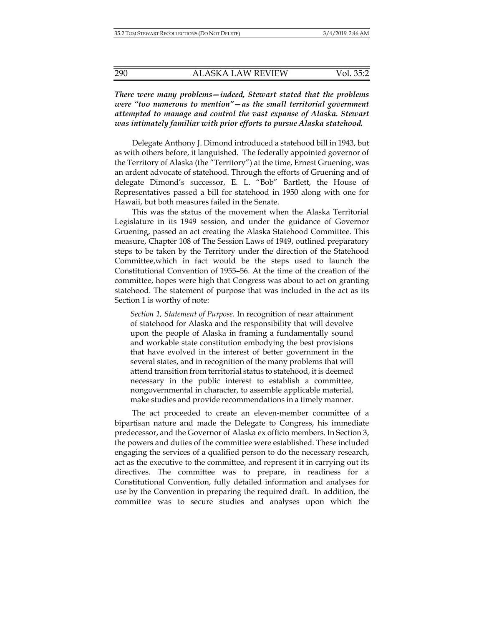*There were many problems—indeed, Stewart stated that the problems were "too numerous to mention"—as the small territorial government attempted to manage and control the vast expanse of Alaska. Stewart was intimately familiar with prior efforts to pursue Alaska statehood.* 

Delegate Anthony J. Dimond introduced a statehood bill in 1943, but as with others before, it languished. The federally appointed governor of the Territory of Alaska (the "Territory") at the time, Ernest Gruening, was an ardent advocate of statehood. Through the efforts of Gruening and of delegate Dimond's successor, E. L. "Bob" Bartlett, the House of Representatives passed a bill for statehood in 1950 along with one for Hawaii, but both measures failed in the Senate.

This was the status of the movement when the Alaska Territorial Legislature in its 1949 session, and under the guidance of Governor Gruening, passed an act creating the Alaska Statehood Committee. This measure, Chapter 108 of The Session Laws of 1949, outlined preparatory steps to be taken by the Territory under the direction of the Statehood Committee,which in fact would be the steps used to launch the Constitutional Convention of 1955–56. At the time of the creation of the committee, hopes were high that Congress was about to act on granting statehood. The statement of purpose that was included in the act as its Section 1 is worthy of note:

*Section 1, Statement of Purpose*. In recognition of near attainment of statehood for Alaska and the responsibility that will devolve upon the people of Alaska in framing a fundamentally sound and workable state constitution embodying the best provisions that have evolved in the interest of better government in the several states, and in recognition of the many problems that will attend transition from territorial status to statehood, it is deemed necessary in the public interest to establish a committee, nongovernmental in character, to assemble applicable material, make studies and provide recommendations in a timely manner.

The act proceeded to create an eleven-member committee of a bipartisan nature and made the Delegate to Congress, his immediate predecessor, and the Governor of Alaska ex officio members. In Section 3, the powers and duties of the committee were established. These included engaging the services of a qualified person to do the necessary research, act as the executive to the committee, and represent it in carrying out its directives. The committee was to prepare, in readiness for a Constitutional Convention, fully detailed information and analyses for use by the Convention in preparing the required draft. In addition, the committee was to secure studies and analyses upon which the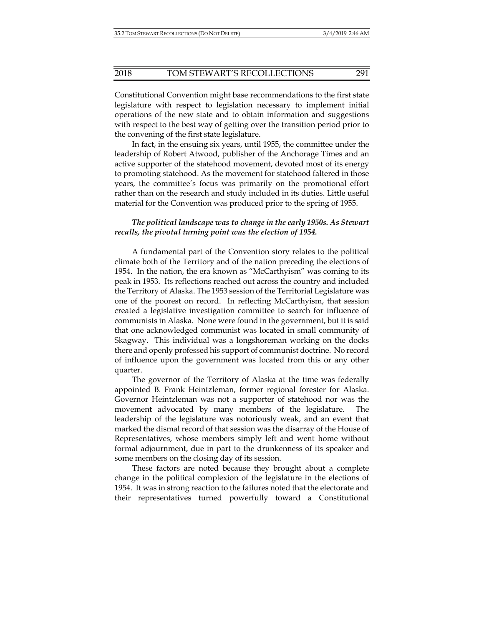Constitutional Convention might base recommendations to the first state legislature with respect to legislation necessary to implement initial operations of the new state and to obtain information and suggestions with respect to the best way of getting over the transition period prior to the convening of the first state legislature.

In fact, in the ensuing six years, until 1955, the committee under the leadership of Robert Atwood, publisher of the Anchorage Times and an active supporter of the statehood movement, devoted most of its energy to promoting statehood. As the movement for statehood faltered in those years, the committee's focus was primarily on the promotional effort rather than on the research and study included in its duties. Little useful material for the Convention was produced prior to the spring of 1955.

#### *The political landscape was to change in the early 1950s. As Stewart recalls, the pivotal turning point was the election of 1954.*

A fundamental part of the Convention story relates to the political climate both of the Territory and of the nation preceding the elections of 1954. In the nation, the era known as "McCarthyism" was coming to its peak in 1953. Its reflections reached out across the country and included the Territory of Alaska. The 1953 session of the Territorial Legislature was one of the poorest on record. In reflecting McCarthyism, that session created a legislative investigation committee to search for influence of communists in Alaska. None were found in the government, but it is said that one acknowledged communist was located in small community of Skagway. This individual was a longshoreman working on the docks there and openly professed his support of communist doctrine. No record of influence upon the government was located from this or any other quarter.

The governor of the Territory of Alaska at the time was federally appointed B. Frank Heintzleman, former regional forester for Alaska. Governor Heintzleman was not a supporter of statehood nor was the movement advocated by many members of the legislature. The leadership of the legislature was notoriously weak, and an event that marked the dismal record of that session was the disarray of the House of Representatives, whose members simply left and went home without formal adjournment, due in part to the drunkenness of its speaker and some members on the closing day of its session.

These factors are noted because they brought about a complete change in the political complexion of the legislature in the elections of 1954. It was in strong reaction to the failures noted that the electorate and their representatives turned powerfully toward a Constitutional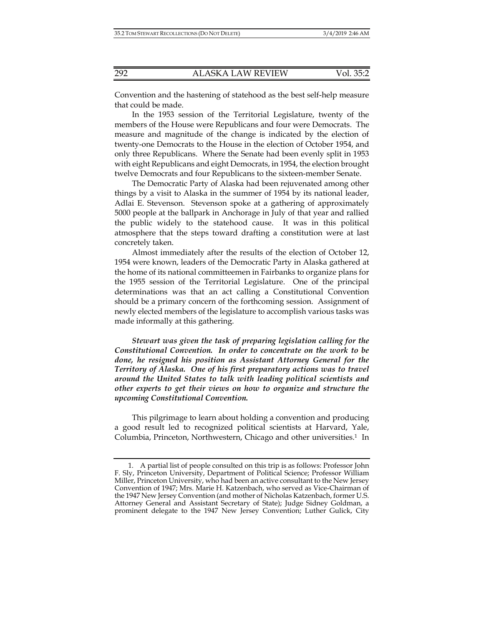Convention and the hastening of statehood as the best self-help measure that could be made.

In the 1953 session of the Territorial Legislature, twenty of the members of the House were Republicans and four were Democrats. The measure and magnitude of the change is indicated by the election of twenty-one Democrats to the House in the election of October 1954, and only three Republicans. Where the Senate had been evenly split in 1953 with eight Republicans and eight Democrats, in 1954, the election brought twelve Democrats and four Republicans to the sixteen-member Senate.

The Democratic Party of Alaska had been rejuvenated among other things by a visit to Alaska in the summer of 1954 by its national leader, Adlai E. Stevenson. Stevenson spoke at a gathering of approximately 5000 people at the ballpark in Anchorage in July of that year and rallied the public widely to the statehood cause. It was in this political atmosphere that the steps toward drafting a constitution were at last concretely taken.

Almost immediately after the results of the election of October 12, 1954 were known, leaders of the Democratic Party in Alaska gathered at the home of its national committeemen in Fairbanks to organize plans for the 1955 session of the Territorial Legislature. One of the principal determinations was that an act calling a Constitutional Convention should be a primary concern of the forthcoming session. Assignment of newly elected members of the legislature to accomplish various tasks was made informally at this gathering.

*Stewart was given the task of preparing legislation calling for the Constitutional Convention. In order to concentrate on the work to be done, he resigned his position as Assistant Attorney General for the Territory of Alaska. One of his first preparatory actions was to travel around the United States to talk with leading political scientists and other experts to get their views on how to organize and structure the upcoming Constitutional Convention.* 

This pilgrimage to learn about holding a convention and producing a good result led to recognized political scientists at Harvard, Yale, Columbia, Princeton, Northwestern, Chicago and other universities.<sup>1</sup> In

 <sup>1.</sup> A partial list of people consulted on this trip is as follows: Professor John F. Sly, Princeton University, Department of Political Science; Professor William Miller, Princeton University, who had been an active consultant to the New Jersey Convention of 1947; Mrs. Marie H. Katzenbach, who served as Vice-Chairman of the 1947 New Jersey Convention (and mother of Nicholas Katzenbach, former U.S. Attorney General and Assistant Secretary of State); Judge Sidney Goldman, a prominent delegate to the 1947 New Jersey Convention; Luther Gulick, City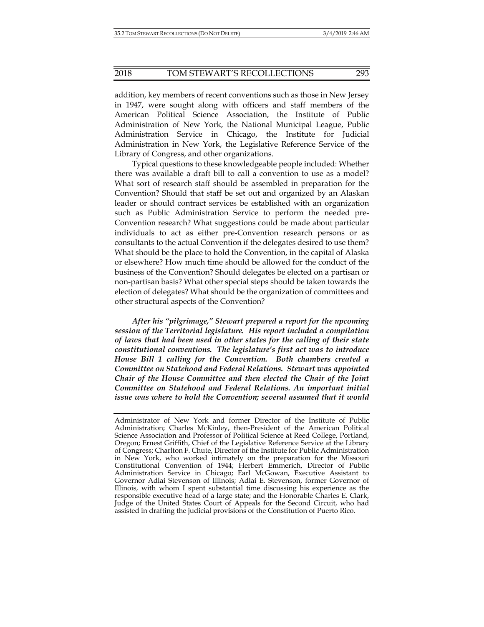addition, key members of recent conventions such as those in New Jersey in 1947, were sought along with officers and staff members of the American Political Science Association, the Institute of Public Administration of New York, the National Municipal League, Public Administration Service in Chicago, the Institute for Judicial Administration in New York, the Legislative Reference Service of the Library of Congress, and other organizations.

Typical questions to these knowledgeable people included: Whether there was available a draft bill to call a convention to use as a model? What sort of research staff should be assembled in preparation for the Convention? Should that staff be set out and organized by an Alaskan leader or should contract services be established with an organization such as Public Administration Service to perform the needed pre-Convention research? What suggestions could be made about particular individuals to act as either pre-Convention research persons or as consultants to the actual Convention if the delegates desired to use them? What should be the place to hold the Convention, in the capital of Alaska or elsewhere? How much time should be allowed for the conduct of the business of the Convention? Should delegates be elected on a partisan or non-partisan basis? What other special steps should be taken towards the election of delegates? What should be the organization of committees and other structural aspects of the Convention?

*After his "pilgrimage," Stewart prepared a report for the upcoming session of the Territorial legislature. His report included a compilation of laws that had been used in other states for the calling of their state constitutional conventions. The legislature's first act was to introduce House Bill 1 calling for the Convention. Both chambers created a Committee on Statehood and Federal Relations. Stewart was appointed Chair of the House Committee and then elected the Chair of the Joint Committee on Statehood and Federal Relations. An important initial issue was where to hold the Convention; several assumed that it would* 

Administrator of New York and former Director of the Institute of Public Administration; Charles McKinley, then-President of the American Political Science Association and Professor of Political Science at Reed College, Portland, Oregon; Ernest Griffith, Chief of the Legislative Reference Service at the Library of Congress; Charlton F. Chute, Director of the Institute for Public Administration in New York, who worked intimately on the preparation for the Missouri Constitutional Convention of 1944; Herbert Emmerich, Director of Public Administration Service in Chicago; Earl McGowan, Executive Assistant to Governor Adlai Stevenson of Illinois; Adlai E. Stevenson, former Governor of Illinois, with whom I spent substantial time discussing his experience as the responsible executive head of a large state; and the Honorable Charles E. Clark, Judge of the United States Court of Appeals for the Second Circuit, who had assisted in drafting the judicial provisions of the Constitution of Puerto Rico.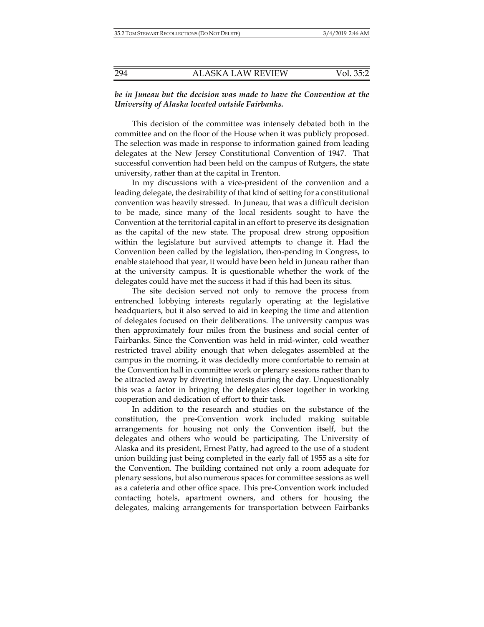#### *be in Juneau but the decision was made to have the Convention at the University of Alaska located outside Fairbanks.*

This decision of the committee was intensely debated both in the committee and on the floor of the House when it was publicly proposed. The selection was made in response to information gained from leading delegates at the New Jersey Constitutional Convention of 1947. That successful convention had been held on the campus of Rutgers, the state university, rather than at the capital in Trenton.

In my discussions with a vice-president of the convention and a leading delegate, the desirability of that kind of setting for a constitutional convention was heavily stressed. In Juneau, that was a difficult decision to be made, since many of the local residents sought to have the Convention at the territorial capital in an effort to preserve its designation as the capital of the new state. The proposal drew strong opposition within the legislature but survived attempts to change it. Had the Convention been called by the legislation, then-pending in Congress, to enable statehood that year, it would have been held in Juneau rather than at the university campus. It is questionable whether the work of the delegates could have met the success it had if this had been its situs.

The site decision served not only to remove the process from entrenched lobbying interests regularly operating at the legislative headquarters, but it also served to aid in keeping the time and attention of delegates focused on their deliberations. The university campus was then approximately four miles from the business and social center of Fairbanks. Since the Convention was held in mid-winter, cold weather restricted travel ability enough that when delegates assembled at the campus in the morning, it was decidedly more comfortable to remain at the Convention hall in committee work or plenary sessions rather than to be attracted away by diverting interests during the day. Unquestionably this was a factor in bringing the delegates closer together in working cooperation and dedication of effort to their task.

In addition to the research and studies on the substance of the constitution, the pre-Convention work included making suitable arrangements for housing not only the Convention itself, but the delegates and others who would be participating. The University of Alaska and its president, Ernest Patty, had agreed to the use of a student union building just being completed in the early fall of 1955 as a site for the Convention. The building contained not only a room adequate for plenary sessions, but also numerous spaces for committee sessions as well as a cafeteria and other office space. This pre-Convention work included contacting hotels, apartment owners, and others for housing the delegates, making arrangements for transportation between Fairbanks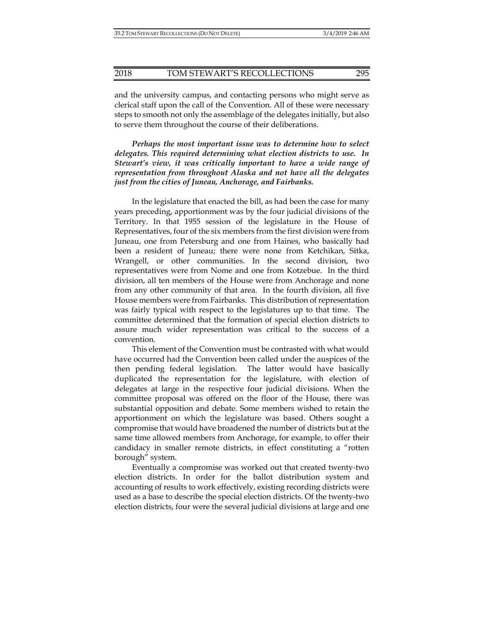and the university campus, and contacting persons who might serve as clerical staff upon the call of the Convention. All of these were necessary steps to smooth not only the assemblage of the delegates initially, but also to serve them throughout the course of their deliberations.

*Perhaps the most important issue was to determine how to select delegates. This required determining what election districts to use. In Stewart's view, it was critically important to have a wide range of representation from throughout Alaska and not have all the delegates just from the cities of Juneau, Anchorage, and Fairbanks.* 

In the legislature that enacted the bill, as had been the case for many years preceding, apportionment was by the four judicial divisions of the Territory. In that 1955 session of the legislature in the House of Representatives, four of the six members from the first division were from Juneau, one from Petersburg and one from Haines, who basically had been a resident of Juneau; there were none from Ketchikan, Sitka, Wrangell, or other communities. In the second division, two representatives were from Nome and one from Kotzebue. In the third division, all ten members of the House were from Anchorage and none from any other community of that area. In the fourth division, all five House members were from Fairbanks. This distribution of representation was fairly typical with respect to the legislatures up to that time. The committee determined that the formation of special election districts to assure much wider representation was critical to the success of a convention.

This element of the Convention must be contrasted with what would have occurred had the Convention been called under the auspices of the then pending federal legislation. The latter would have basically duplicated the representation for the legislature, with election of delegates at large in the respective four judicial divisions. When the committee proposal was offered on the floor of the House, there was substantial opposition and debate. Some members wished to retain the apportionment on which the legislature was based. Others sought a compromise that would have broadened the number of districts but at the same time allowed members from Anchorage, for example, to offer their candidacy in smaller remote districts, in effect constituting a "rotten borough" system.

Eventually a compromise was worked out that created twenty-two election districts. In order for the ballot distribution system and accounting of results to work effectively, existing recording districts were used as a base to describe the special election districts. Of the twenty-two election districts, four were the several judicial divisions at large and one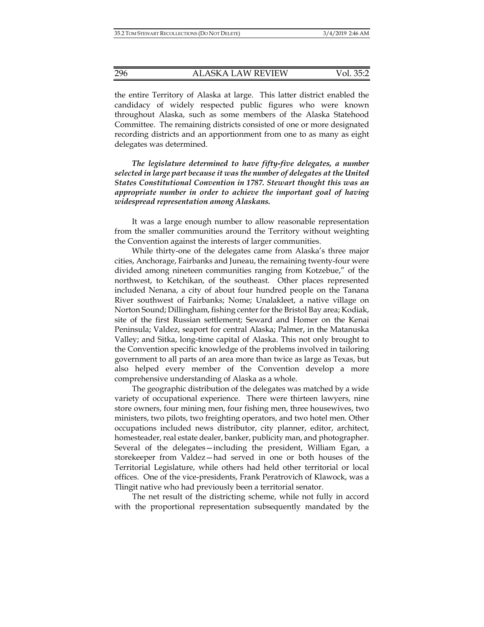the entire Territory of Alaska at large. This latter district enabled the candidacy of widely respected public figures who were known throughout Alaska, such as some members of the Alaska Statehood Committee. The remaining districts consisted of one or more designated recording districts and an apportionment from one to as many as eight delegates was determined.

*The legislature determined to have fifty-five delegates, a number selected in large part because it was the number of delegates at the United States Constitutional Convention in 1787. Stewart thought this was an appropriate number in order to achieve the important goal of having widespread representation among Alaskans.* 

It was a large enough number to allow reasonable representation from the smaller communities around the Territory without weighting the Convention against the interests of larger communities.

While thirty-one of the delegates came from Alaska's three major cities, Anchorage, Fairbanks and Juneau, the remaining twenty-four were divided among nineteen communities ranging from Kotzebue," of the northwest, to Ketchikan, of the southeast. Other places represented included Nenana, a city of about four hundred people on the Tanana River southwest of Fairbanks; Nome; Unalakleet, a native village on Norton Sound; Dillingham, fishing center for the Bristol Bay area; Kodiak, site of the first Russian settlement; Seward and Homer on the Kenai Peninsula; Valdez, seaport for central Alaska; Palmer, in the Matanuska Valley; and Sitka, long-time capital of Alaska. This not only brought to the Convention specific knowledge of the problems involved in tailoring government to all parts of an area more than twice as large as Texas, but also helped every member of the Convention develop a more comprehensive understanding of Alaska as a whole.

The geographic distribution of the delegates was matched by a wide variety of occupational experience. There were thirteen lawyers, nine store owners, four mining men, four fishing men, three housewives, two ministers, two pilots, two freighting operators, and two hotel men. Other occupations included news distributor, city planner, editor, architect, homesteader, real estate dealer, banker, publicity man, and photographer. Several of the delegates—including the president, William Egan, a storekeeper from Valdez—had served in one or both houses of the Territorial Legislature, while others had held other territorial or local offices. One of the vice-presidents, Frank Peratrovich of Klawock, was a Tlingit native who had previously been a territorial senator.

The net result of the districting scheme, while not fully in accord with the proportional representation subsequently mandated by the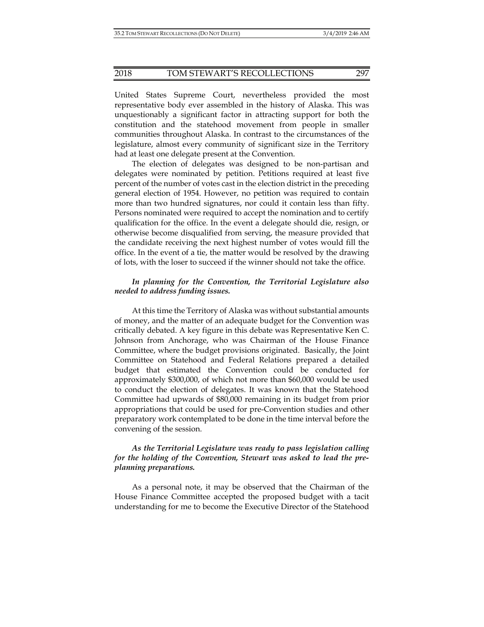#### 2018 TOM STEWART'S RECOLLECTIONS 297

United States Supreme Court, nevertheless provided the most representative body ever assembled in the history of Alaska. This was unquestionably a significant factor in attracting support for both the constitution and the statehood movement from people in smaller communities throughout Alaska. In contrast to the circumstances of the legislature, almost every community of significant size in the Territory had at least one delegate present at the Convention.

The election of delegates was designed to be non-partisan and delegates were nominated by petition. Petitions required at least five percent of the number of votes cast in the election district in the preceding general election of 1954. However, no petition was required to contain more than two hundred signatures, nor could it contain less than fifty. Persons nominated were required to accept the nomination and to certify qualification for the office. In the event a delegate should die, resign, or otherwise become disqualified from serving, the measure provided that the candidate receiving the next highest number of votes would fill the office. In the event of a tie, the matter would be resolved by the drawing of lots, with the loser to succeed if the winner should not take the office.

#### *In planning for the Convention, the Territorial Legislature also needed to address funding issues.*

At this time the Territory of Alaska was without substantial amounts of money, and the matter of an adequate budget for the Convention was critically debated. A key figure in this debate was Representative Ken C. Johnson from Anchorage, who was Chairman of the House Finance Committee, where the budget provisions originated. Basically, the Joint Committee on Statehood and Federal Relations prepared a detailed budget that estimated the Convention could be conducted for approximately \$300,000, of which not more than \$60,000 would be used to conduct the election of delegates. It was known that the Statehood Committee had upwards of \$80,000 remaining in its budget from prior appropriations that could be used for pre-Convention studies and other preparatory work contemplated to be done in the time interval before the convening of the session.

#### *As the Territorial Legislature was ready to pass legislation calling for the holding of the Convention, Stewart was asked to lead the preplanning preparations.*

As a personal note, it may be observed that the Chairman of the House Finance Committee accepted the proposed budget with a tacit understanding for me to become the Executive Director of the Statehood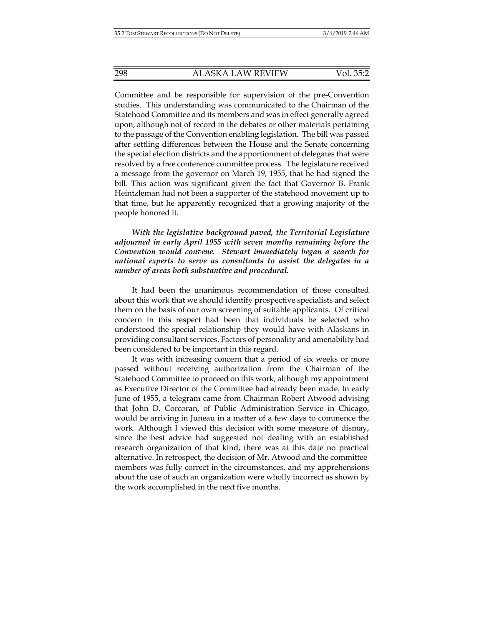Committee and be responsible for supervision of the pre-Convention studies. This understanding was communicated to the Chairman of the Statehood Committee and its members and was in effect generally agreed upon, although not of record in the debates or other materials pertaining to the passage of the Convention enabling legislation. The bill was passed after settling differences between the House and the Senate concerning the special election districts and the apportionment of delegates that were resolved by a free conference committee process. The legislature received a message from the governor on March 19, 1955, that he had signed the bill. This action was significant given the fact that Governor B. Frank Heintzleman had not been a supporter of the statehood movement up to that time, but he apparently recognized that a growing majority of the people honored it.

*With the legislative background paved, the Territorial Legislature adjourned in early April 1955 with seven months remaining before the Convention would convene. Stewart immediately began a search for national experts to serve as consultants to assist the delegates in a number of areas both substantive and procedural.* 

It had been the unanimous recommendation of those consulted about this work that we should identify prospective specialists and select them on the basis of our own screening of suitable applicants. Of critical concern in this respect had been that individuals be selected who understood the special relationship they would have with Alaskans in providing consultant services. Factors of personality and amenability had been considered to be important in this regard.

It was with increasing concern that a period of six weeks or more passed without receiving authorization from the Chairman of the Statehood Committee to proceed on this work, although my appointment as Executive Director of the Committee had already been made. In early June of 1955, a telegram came from Chairman Robert Atwood advising that John D. Corcoran, of Public Administration Service in Chicago, would be arriving in Juneau in a matter of a few days to commence the work. Although I viewed this decision with some measure of dismay, since the best advice had suggested not dealing with an established research organization of that kind, there was at this date no practical alternative. In retrospect, the decision of Mr. Atwood and the committee members was fully correct in the circumstances, and my apprehensions about the use of such an organization were wholly incorrect as shown by the work accomplished in the next five months.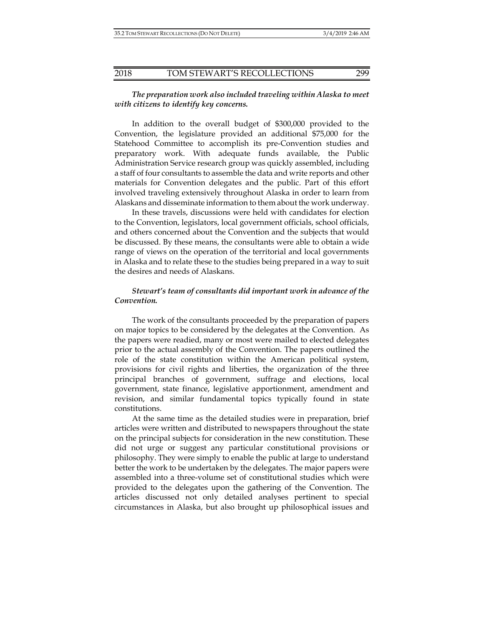#### *The preparation work also included traveling within Alaska to meet with citizens to identify key concerns.*

In addition to the overall budget of \$300,000 provided to the Convention, the legislature provided an additional \$75,000 for the Statehood Committee to accomplish its pre-Convention studies and preparatory work. With adequate funds available, the Public Administration Service research group was quickly assembled, including a staff of four consultants to assemble the data and write reports and other materials for Convention delegates and the public. Part of this effort involved traveling extensively throughout Alaska in order to learn from Alaskans and disseminate information to them about the work underway.

In these travels, discussions were held with candidates for election to the Convention, legislators, local government officials, school officials, and others concerned about the Convention and the subjects that would be discussed. By these means, the consultants were able to obtain a wide range of views on the operation of the territorial and local governments in Alaska and to relate these to the studies being prepared in a way to suit the desires and needs of Alaskans.

#### *Stewart's team of consultants did important work in advance of the Convention.*

The work of the consultants proceeded by the preparation of papers on major topics to be considered by the delegates at the Convention. As the papers were readied, many or most were mailed to elected delegates prior to the actual assembly of the Convention. The papers outlined the role of the state constitution within the American political system, provisions for civil rights and liberties, the organization of the three principal branches of government, suffrage and elections, local government, state finance, legislative apportionment, amendment and revision, and similar fundamental topics typically found in state constitutions.

At the same time as the detailed studies were in preparation, brief articles were written and distributed to newspapers throughout the state on the principal subjects for consideration in the new constitution. These did not urge or suggest any particular constitutional provisions or philosophy. They were simply to enable the public at large to understand better the work to be undertaken by the delegates. The major papers were assembled into a three-volume set of constitutional studies which were provided to the delegates upon the gathering of the Convention. The articles discussed not only detailed analyses pertinent to special circumstances in Alaska, but also brought up philosophical issues and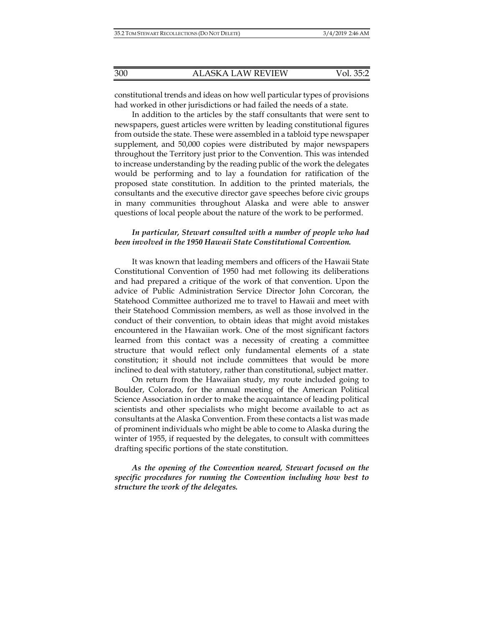constitutional trends and ideas on how well particular types of provisions had worked in other jurisdictions or had failed the needs of a state.

In addition to the articles by the staff consultants that were sent to newspapers, guest articles were written by leading constitutional figures from outside the state. These were assembled in a tabloid type newspaper supplement, and 50,000 copies were distributed by major newspapers throughout the Territory just prior to the Convention. This was intended to increase understanding by the reading public of the work the delegates would be performing and to lay a foundation for ratification of the proposed state constitution. In addition to the printed materials, the consultants and the executive director gave speeches before civic groups in many communities throughout Alaska and were able to answer questions of local people about the nature of the work to be performed.

#### *In particular, Stewart consulted with a number of people who had been involved in the 1950 Hawaii State Constitutional Convention.*

It was known that leading members and officers of the Hawaii State Constitutional Convention of 1950 had met following its deliberations and had prepared a critique of the work of that convention. Upon the advice of Public Administration Service Director John Corcoran, the Statehood Committee authorized me to travel to Hawaii and meet with their Statehood Commission members, as well as those involved in the conduct of their convention, to obtain ideas that might avoid mistakes encountered in the Hawaiian work. One of the most significant factors learned from this contact was a necessity of creating a committee structure that would reflect only fundamental elements of a state constitution; it should not include committees that would be more inclined to deal with statutory, rather than constitutional, subject matter.

On return from the Hawaiian study, my route included going to Boulder, Colorado, for the annual meeting of the American Political Science Association in order to make the acquaintance of leading political scientists and other specialists who might become available to act as consultants at the Alaska Convention. From these contacts a list was made of prominent individuals who might be able to come to Alaska during the winter of 1955, if requested by the delegates, to consult with committees drafting specific portions of the state constitution.

*As the opening of the Convention neared, Stewart focused on the specific procedures for running the Convention including how best to structure the work of the delegates.*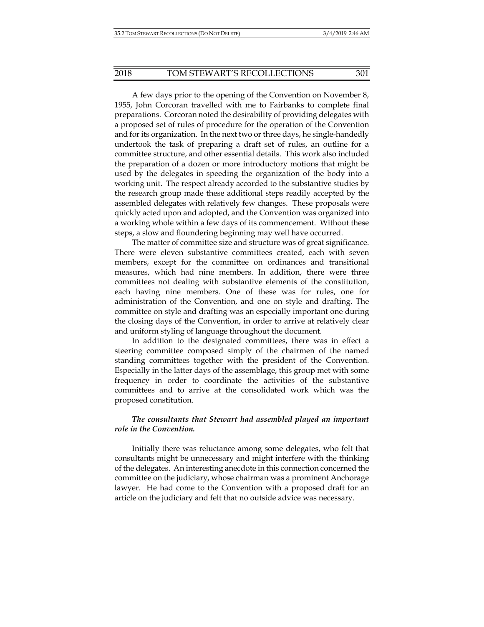A few days prior to the opening of the Convention on November 8, 1955, John Corcoran travelled with me to Fairbanks to complete final preparations. Corcoran noted the desirability of providing delegates with a proposed set of rules of procedure for the operation of the Convention and for its organization. In the next two or three days, he single-handedly undertook the task of preparing a draft set of rules, an outline for a committee structure, and other essential details. This work also included the preparation of a dozen or more introductory motions that might be used by the delegates in speeding the organization of the body into a working unit. The respect already accorded to the substantive studies by the research group made these additional steps readily accepted by the assembled delegates with relatively few changes. These proposals were quickly acted upon and adopted, and the Convention was organized into a working whole within a few days of its commencement. Without these steps, a slow and floundering beginning may well have occurred.

The matter of committee size and structure was of great significance. There were eleven substantive committees created, each with seven members, except for the committee on ordinances and transitional measures, which had nine members. In addition, there were three committees not dealing with substantive elements of the constitution, each having nine members. One of these was for rules, one for administration of the Convention, and one on style and drafting. The committee on style and drafting was an especially important one during the closing days of the Convention, in order to arrive at relatively clear and uniform styling of language throughout the document.

In addition to the designated committees, there was in effect a steering committee composed simply of the chairmen of the named standing committees together with the president of the Convention. Especially in the latter days of the assemblage, this group met with some frequency in order to coordinate the activities of the substantive committees and to arrive at the consolidated work which was the proposed constitution.

#### *The consultants that Stewart had assembled played an important role in the Convention.*

Initially there was reluctance among some delegates, who felt that consultants might be unnecessary and might interfere with the thinking of the delegates. An interesting anecdote in this connection concerned the committee on the judiciary, whose chairman was a prominent Anchorage lawyer. He had come to the Convention with a proposed draft for an article on the judiciary and felt that no outside advice was necessary.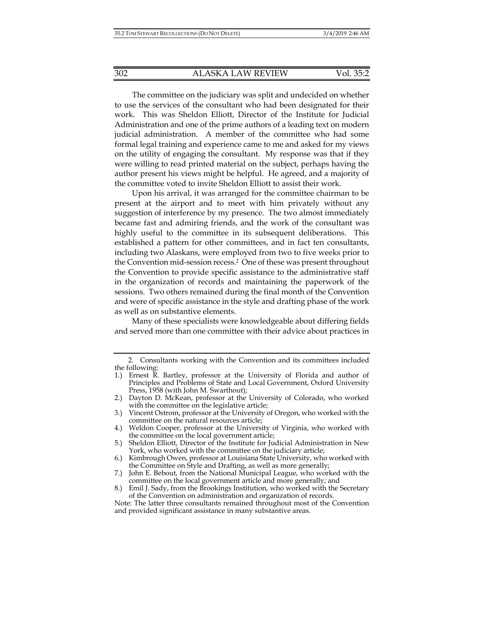The committee on the judiciary was split and undecided on whether to use the services of the consultant who had been designated for their work. This was Sheldon Elliott, Director of the Institute for Judicial Administration and one of the prime authors of a leading text on modern judicial administration. A member of the committee who had some formal legal training and experience came to me and asked for my views on the utility of engaging the consultant. My response was that if they were willing to read printed material on the subject, perhaps having the author present his views might be helpful. He agreed, and a majority of the committee voted to invite Sheldon Elliott to assist their work.

Upon his arrival, it was arranged for the committee chairman to be present at the airport and to meet with him privately without any suggestion of interference by my presence. The two almost immediately became fast and admiring friends, and the work of the consultant was highly useful to the committee in its subsequent deliberations. This established a pattern for other committees, and in fact ten consultants, including two Alaskans, were employed from two to five weeks prior to the Convention mid-session recess.2 One of these was present throughout the Convention to provide specific assistance to the administrative staff in the organization of records and maintaining the paperwork of the sessions. Two others remained during the final month of the Convention and were of specific assistance in the style and drafting phase of the work as well as on substantive elements.

Many of these specialists were knowledgeable about differing fields and served more than one committee with their advice about practices in

- 6.) Kimbrough Owen, professor at Louisiana State University, who worked with the Committee on Style and Drafting, as well as more generally;
- 7.) John E. Bebout, from the National Municipal League, who worked with the committee on the local government article and more generally; and

 <sup>2.</sup> Consultants working with the Convention and its committees included the following:

<sup>1.)</sup> Ernest R. Bartley, professor at the University of Florida and author of Principles and Problems of State and Local Government, Oxford University Press, 1958 (with John M. Swarthout);

<sup>2.)</sup> Dayton D. McKean, professor at the University of Colorado, who worked with the committee on the legislative article;

<sup>3.)</sup> Vincent Ostrom, professor at the University of Oregon, who worked with the committee on the natural resources article;

<sup>4.)</sup> Weldon Cooper, professor at the University of Virginia, who worked with the committee on the local government article;

<sup>5.)</sup> Sheldon Elliott, Director of the Institute for Judicial Administration in New York, who worked with the committee on the judiciary article;

<sup>8.)</sup> Emil J. Sady, from the Brookings Institution, who worked with the Secretary of the Convention on administration and organization of records.

Note: The latter three consultants remained throughout most of the Convention and provided significant assistance in many substantive areas.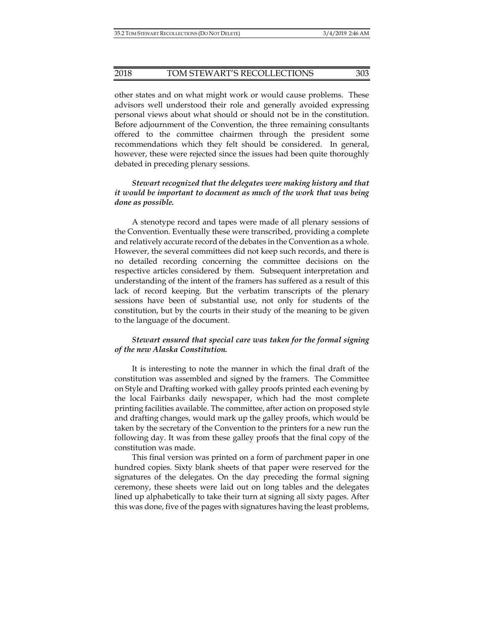#### 2018 TOM STEWART'S RECOLLECTIONS 303

other states and on what might work or would cause problems. These advisors well understood their role and generally avoided expressing personal views about what should or should not be in the constitution. Before adjournment of the Convention, the three remaining consultants offered to the committee chairmen through the president some recommendations which they felt should be considered. In general, however, these were rejected since the issues had been quite thoroughly debated in preceding plenary sessions.

#### *Stewart recognized that the delegates were making history and that it would be important to document as much of the work that was being done as possible.*

A stenotype record and tapes were made of all plenary sessions of the Convention. Eventually these were transcribed, providing a complete and relatively accurate record of the debates in the Convention as a whole. However, the several committees did not keep such records, and there is no detailed recording concerning the committee decisions on the respective articles considered by them. Subsequent interpretation and understanding of the intent of the framers has suffered as a result of this lack of record keeping. But the verbatim transcripts of the plenary sessions have been of substantial use, not only for students of the constitution, but by the courts in their study of the meaning to be given to the language of the document.

#### *Stewart ensured that special care was taken for the formal signing of the new Alaska Constitution.*

It is interesting to note the manner in which the final draft of the constitution was assembled and signed by the framers. The Committee on Style and Drafting worked with galley proofs printed each evening by the local Fairbanks daily newspaper, which had the most complete printing facilities available. The committee, after action on proposed style and drafting changes, would mark up the galley proofs, which would be taken by the secretary of the Convention to the printers for a new run the following day. It was from these galley proofs that the final copy of the constitution was made.

This final version was printed on a form of parchment paper in one hundred copies. Sixty blank sheets of that paper were reserved for the signatures of the delegates. On the day preceding the formal signing ceremony, these sheets were laid out on long tables and the delegates lined up alphabetically to take their turn at signing all sixty pages. After this was done, five of the pages with signatures having the least problems,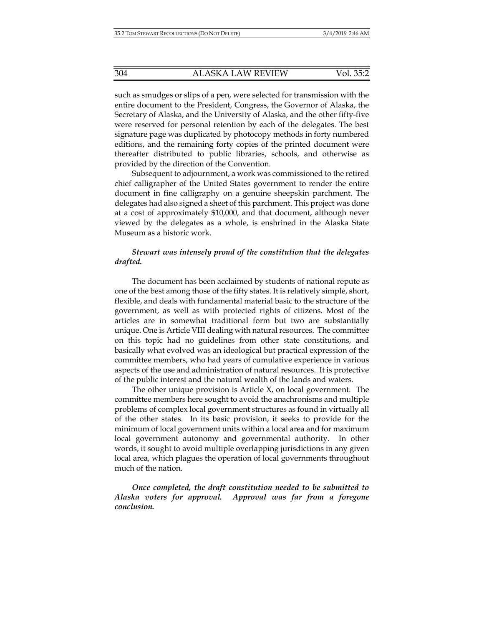such as smudges or slips of a pen, were selected for transmission with the entire document to the President, Congress, the Governor of Alaska, the Secretary of Alaska, and the University of Alaska, and the other fifty-five were reserved for personal retention by each of the delegates. The best signature page was duplicated by photocopy methods in forty numbered editions, and the remaining forty copies of the printed document were thereafter distributed to public libraries, schools, and otherwise as provided by the direction of the Convention.

Subsequent to adjournment, a work was commissioned to the retired chief calligrapher of the United States government to render the entire document in fine calligraphy on a genuine sheepskin parchment. The delegates had also signed a sheet of this parchment. This project was done at a cost of approximately \$10,000, and that document, although never viewed by the delegates as a whole, is enshrined in the Alaska State Museum as a historic work.

#### *Stewart was intensely proud of the constitution that the delegates drafted.*

The document has been acclaimed by students of national repute as one of the best among those of the fifty states. It is relatively simple, short, flexible, and deals with fundamental material basic to the structure of the government, as well as with protected rights of citizens. Most of the articles are in somewhat traditional form but two are substantially unique. One is Article VIII dealing with natural resources. The committee on this topic had no guidelines from other state constitutions, and basically what evolved was an ideological but practical expression of the committee members, who had years of cumulative experience in various aspects of the use and administration of natural resources. It is protective of the public interest and the natural wealth of the lands and waters.

The other unique provision is Article  $X$ , on local government. The committee members here sought to avoid the anachronisms and multiple problems of complex local government structures as found in virtually all of the other states. In its basic provision, it seeks to provide for the minimum of local government units within a local area and for maximum local government autonomy and governmental authority. In other words, it sought to avoid multiple overlapping jurisdictions in any given local area, which plagues the operation of local governments throughout much of the nation.

*Once completed, the draft constitution needed to be submitted to Alaska voters for approval. Approval was far from a foregone conclusion.*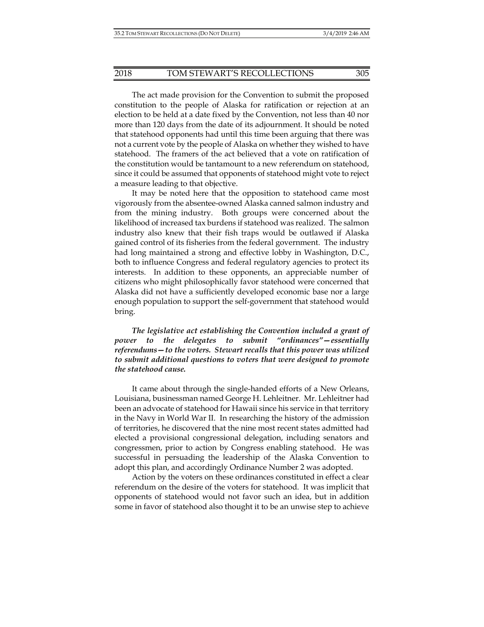The act made provision for the Convention to submit the proposed constitution to the people of Alaska for ratification or rejection at an election to be held at a date fixed by the Convention, not less than 40 nor more than 120 days from the date of its adjournment. It should be noted that statehood opponents had until this time been arguing that there was not a current vote by the people of Alaska on whether they wished to have statehood. The framers of the act believed that a vote on ratification of the constitution would be tantamount to a new referendum on statehood, since it could be assumed that opponents of statehood might vote to reject a measure leading to that objective.

It may be noted here that the opposition to statehood came most vigorously from the absentee-owned Alaska canned salmon industry and from the mining industry. Both groups were concerned about the likelihood of increased tax burdens if statehood was realized. The salmon industry also knew that their fish traps would be outlawed if Alaska gained control of its fisheries from the federal government. The industry had long maintained a strong and effective lobby in Washington, D.C., both to influence Congress and federal regulatory agencies to protect its interests. In addition to these opponents, an appreciable number of citizens who might philosophically favor statehood were concerned that Alaska did not have a sufficiently developed economic base nor a large enough population to support the self-government that statehood would bring.

*The legislative act establishing the Convention included a grant of power to the delegates to submit "ordinances"—essentially referendums—to the voters. Stewart recalls that this power was utilized to submit additional questions to voters that were designed to promote the statehood cause.* 

It came about through the single-handed efforts of a New Orleans, Louisiana, businessman named George H. Lehleitner. Mr. Lehleitner had been an advocate of statehood for Hawaii since his service in that territory in the Navy in World War II. In researching the history of the admission of territories, he discovered that the nine most recent states admitted had elected a provisional congressional delegation, including senators and congressmen, prior to action by Congress enabling statehood. He was successful in persuading the leadership of the Alaska Convention to adopt this plan, and accordingly Ordinance Number 2 was adopted.

Action by the voters on these ordinances constituted in effect a clear referendum on the desire of the voters for statehood. It was implicit that opponents of statehood would not favor such an idea, but in addition some in favor of statehood also thought it to be an unwise step to achieve